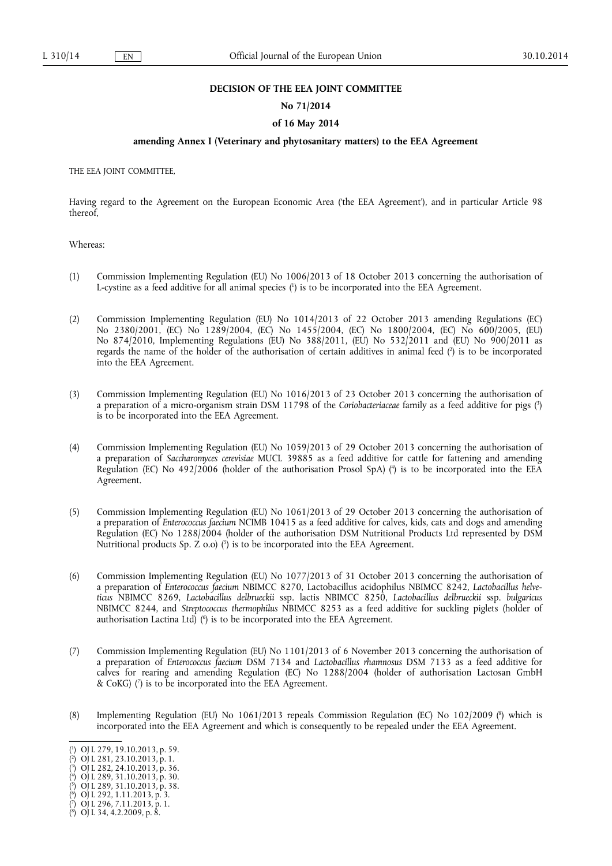#### **DECISION OF THE EEA JOINT COMMITTEE**

#### **No 71/2014**

#### **of 16 May 2014**

### **amending Annex I (Veterinary and phytosanitary matters) to the EEA Agreement**

THE EEA JOINT COMMITTEE,

Having regard to the Agreement on the European Economic Area ('the EEA Agreement'), and in particular Article 98 thereof,

Whereas:

- (1) Commission Implementing Regulation (EU) No 1006/2013 of 18 October 2013 concerning the authorisation of L-cystine as a feed additive for all animal species  $\binom{n}{k}$  is to be incorporated into the EEA Agreement.
- (2) Commission Implementing Regulation (EU) No 1014/2013 of 22 October 2013 amending Regulations (EC) No 2380/2001, (EC) No 1289/2004, (EC) No 1455/2004, (EC) No 1800/2004, (EC) No 600/2005, (EU) No 874/2010, Implementing Regulations (EU) No 388/2011, (EU) No 532/2011 and (EU) No 900/2011 as regards the name of the holder of the authorisation of certain additives in animal feed  $\binom{n}{2}$  is to be incorporated into the EEA Agreement.
- (3) Commission Implementing Regulation (EU) No 1016/2013 of 23 October 2013 concerning the authorisation of a preparation of a micro-organism strain DSM 11798 of the *Coriobacteriaceae* family as a feed additive for pigs (3 ) is to be incorporated into the EEA Agreement.
- (4) Commission Implementing Regulation (EU) No 1059/2013 of 29 October 2013 concerning the authorisation of a preparation of *Saccharomyces cerevisiae* MUCL 39885 as a feed additive for cattle for fattening and amending Regulation (EC) No 492/2006 (holder of the authorisation Prosol SpA) (4 ) is to be incorporated into the EEA Agreement.
- (5) Commission Implementing Regulation (EU) No 1061/2013 of 29 October 2013 concerning the authorisation of a preparation of *Enterococcus faecium* NCIMB 10415 as a feed additive for calves, kids, cats and dogs and amending Regulation (EC) No 1288/2004 (holder of the authorisation DSM Nutritional Products Ltd represented by DSM Nutritional products Sp.  $Z$  0.0)  $(5)$  is to be incorporated into the EEA Agreement.
- (6) Commission Implementing Regulation (EU) No 1077/2013 of 31 October 2013 concerning the authorisation of a preparation of *Enterococcus faecium* NBIMCC 8270, Lactobacillus acidophilus NBIMCC 8242, *Lactobacillus helveticus* NBIMCC 8269, *Lactobacillus delbrueckii* ssp. lactis NBIMCC 8250, *Lactobacillus delbrueckii* ssp. *bulgaricus*  NBIMCC 8244, and *Streptococcus thermophilus* NBIMCC 8253 as a feed additive for suckling piglets (holder of authorisation Lactina Ltd)  $(6)$  is to be incorporated into the EEA Agreement.
- (7) Commission Implementing Regulation (EU) No 1101/2013 of 6 November 2013 concerning the authorisation of a preparation of *Enterococcus faecium* DSM 7134 and *Lactobacillus rhamnosus* DSM 7133 as a feed additive for calves for rearing and amending Regulation (EC) No 1288/2004 (holder of authorisation Lactosan GmbH & CoKG) (7 ) is to be incorporated into the EEA Agreement.
- (8) Implementing Regulation (EU) No 1061/2013 repeals Commission Regulation (EC) No 102/2009 (8 ) which is incorporated into the EEA Agreement and which is consequently to be repealed under the EEA Agreement.

 $(3)$  OJ L 282, 24.10.2013, p. 36.

<sup>(</sup> 1 ) OJ L 279, 19.10.2013, p. 59.

<sup>(</sup> 2 ) OJ L 281, 23.10.2013, p. 1.

<sup>(</sup> 4 ) OJ L 289, 31.10.2013, p. 30.

<sup>(</sup> 5 ) OJ L 289, 31.10.2013, p. 38.

 $(9)$  OJ L 292, 1.11.2013, p. 3.

<sup>(</sup> 7 ) OJ L 296, 7.11.2013, p. 1. ( 8 ) OJ L 34, 4.2.2009, p. 8.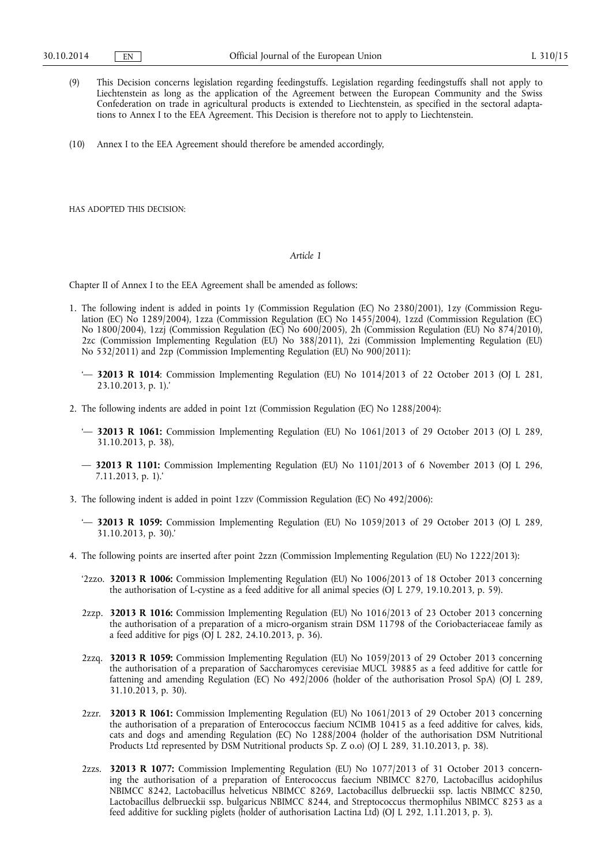- (9) This Decision concerns legislation regarding feedingstuffs. Legislation regarding feedingstuffs shall not apply to Liechtenstein as long as the application of the Agreement between the European Community and the Swiss Confederation on trade in agricultural products is extended to Liechtenstein, as specified in the sectoral adaptations to Annex I to the EEA Agreement. This Decision is therefore not to apply to Liechtenstein.
- (10) Annex I to the EEA Agreement should therefore be amended accordingly,

HAS ADOPTED THIS DECISION:

## *Article 1*

Chapter II of Annex I to the EEA Agreement shall be amended as follows:

- 1. The following indent is added in points 1y (Commission Regulation (EC) No 2380/2001), 1zy (Commission Regulation (EC) No 1289/2004), 1zza (Commission Regulation (EC) No 1455/2004), 1zzd (Commission Regulation (EC) No 1800/2004), 1zzj (Commission Regulation (EC) No 600/2005), 2h (Commission Regulation (EU) No 874/2010), 2zc (Commission Implementing Regulation (EU) No 388/2011), 2zi (Commission Implementing Regulation (EU) No 532/2011) and 2zp (Commission Implementing Regulation (EU) No 900/2011):
	- '— **32013 R 1014**: Commission Implementing Regulation (EU) No 1014/2013 of 22 October 2013 (OJ L 281, 23.10.2013, p. 1).'
- 2. The following indents are added in point 1zt (Commission Regulation (EC) No 1288/2004):
	- '— **32013 R 1061:** Commission Implementing Regulation (EU) No 1061/2013 of 29 October 2013 (OJ L 289, 31.10.2013, p. 38),
	- **32013 R 1101:** Commission Implementing Regulation (EU) No 1101/2013 of 6 November 2013 (OJ L 296, 7.11.2013, p. 1).'
- 3. The following indent is added in point 1zzv (Commission Regulation (EC) No 492/2006):
	- '— **32013 R 1059:** Commission Implementing Regulation (EU) No 1059/2013 of 29 October 2013 (OJ L 289, 31.10.2013, p. 30).'
- 4. The following points are inserted after point 2zzn (Commission Implementing Regulation (EU) No 1222/2013):
	- '2zzo. **32013 R 1006:** Commission Implementing Regulation (EU) No 1006/2013 of 18 October 2013 concerning the authorisation of L-cystine as a feed additive for all animal species (OJ L 279, 19.10.2013, p. 59).
	- 2zzp. **32013 R 1016:** Commission Implementing Regulation (EU) No 1016/2013 of 23 October 2013 concerning the authorisation of a preparation of a micro-organism strain DSM 11798 of the Coriobacteriaceae family as a feed additive for pigs  $[O]$  L 282, 24.10.2013, p. 36).
	- 2zzq. **32013 R 1059:** Commission Implementing Regulation (EU) No 1059/2013 of 29 October 2013 concerning the authorisation of a preparation of Saccharomyces cerevisiae MUCL 39885 as a feed additive for cattle for fattening and amending Regulation (EC) No 492/2006 (holder of the authorisation Prosol SpA) (OJ L 289, 31.10.2013, p. 30).
	- 2zzr. **32013 R 1061:** Commission Implementing Regulation (EU) No 1061/2013 of 29 October 2013 concerning the authorisation of a preparation of Enterococcus faecium NCIMB 10415 as a feed additive for calves, kids, cats and dogs and amending Regulation (EC) No 1288/2004 (holder of the authorisation DSM Nutritional Products Ltd represented by DSM Nutritional products Sp. Z o.o) (OJ L 289, 31.10.2013, p. 38).
	- 2zzs. **32013 R 1077:** Commission Implementing Regulation (EU) No 1077/2013 of 31 October 2013 concerning the authorisation of a preparation of Enterococcus faecium NBIMCC 8270, Lactobacillus acidophilus NBIMCC 8242, Lactobacillus helveticus NBIMCC 8269, Lactobacillus delbrueckii ssp. lactis NBIMCC 8250, Lactobacillus delbrueckii ssp. bulgaricus NBIMCC 8244, and Streptococcus thermophilus NBIMCC 8253 as a feed additive for suckling piglets (holder of authorisation Lactina Ltd) (OJ L 292, 1.11.2013, p. 3).